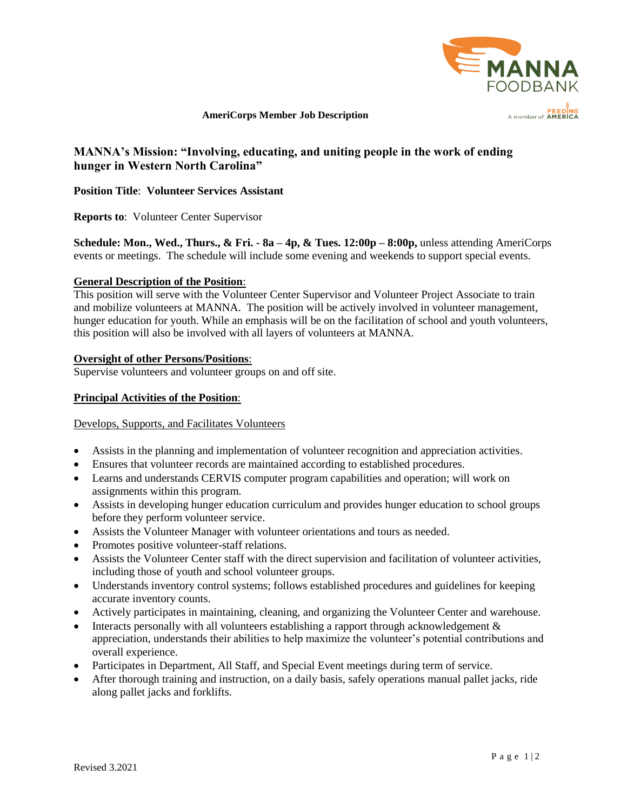

# **AmeriCorps Member Job Description**

# **MANNA's Mission: "Involving, educating, and uniting people in the work of ending hunger in Western North Carolina"**

**Position Title**: **Volunteer Services Assistant**

**Reports to**: Volunteer Center Supervisor

**Schedule: Mon., Wed., Thurs., & Fri. - 8a – 4p, & Tues. 12:00p – 8:00p,** unless attending AmeriCorps events or meetings. The schedule will include some evening and weekends to support special events.

#### **General Description of the Position**:

This position will serve with the Volunteer Center Supervisor and Volunteer Project Associate to train and mobilize volunteers at MANNA. The position will be actively involved in volunteer management, hunger education for youth. While an emphasis will be on the facilitation of school and youth volunteers, this position will also be involved with all layers of volunteers at MANNA.

## **Oversight of other Persons/Positions**:

Supervise volunteers and volunteer groups on and off site.

## **Principal Activities of the Position**:

#### Develops, Supports, and Facilitates Volunteers

- Assists in the planning and implementation of volunteer recognition and appreciation activities.
- Ensures that volunteer records are maintained according to established procedures.
- Learns and understands CERVIS computer program capabilities and operation; will work on assignments within this program.
- Assists in developing hunger education curriculum and provides hunger education to school groups before they perform volunteer service.
- Assists the Volunteer Manager with volunteer orientations and tours as needed.
- Promotes positive volunteer-staff relations.
- Assists the Volunteer Center staff with the direct supervision and facilitation of volunteer activities, including those of youth and school volunteer groups.
- Understands inventory control systems; follows established procedures and guidelines for keeping accurate inventory counts.
- Actively participates in maintaining, cleaning, and organizing the Volunteer Center and warehouse.
- Interacts personally with all volunteers establishing a rapport through acknowledgement & appreciation, understands their abilities to help maximize the volunteer's potential contributions and overall experience.
- Participates in Department, All Staff, and Special Event meetings during term of service.
- After thorough training and instruction, on a daily basis, safely operations manual pallet jacks, ride along pallet jacks and forklifts.